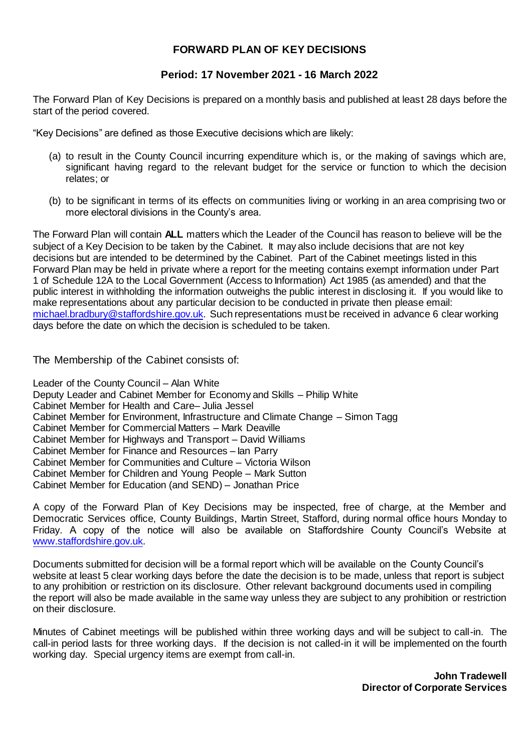## **FORWARD PLAN OF KEY DECISIONS**

## **Period: 17 November 2021 - 16 March 2022**

The Forward Plan of Key Decisions is prepared on a monthly basis and published at least 28 days before the start of the period covered.

"Key Decisions" are defined as those Executive decisions which are likely:

- (a) to result in the County Council incurring expenditure which is, or the making of savings which are, significant having regard to the relevant budget for the service or function to which the decision relates; or
- (b) to be significant in terms of its effects on communities living or working in an area comprising two or more electoral divisions in the County's area.

The Forward Plan will contain **ALL** matters which the Leader of the Council has reason to believe will be the subject of a Key Decision to be taken by the Cabinet. It may also include decisions that are not key decisions but are intended to be determined by the Cabinet. Part of the Cabinet meetings listed in this Forward Plan may be held in private where a report for the meeting contains exempt information under Part 1 of Schedule 12A to the Local Government (Access to Information) Act 1985 (as amended) and that the public interest in withholding the information outweighs the public interest in disclosing it. If you would like to make representations about any particular decision to be conducted in private then please email: [michael.bradbury@staffordshire.gov.uk.](mailto:michael.bradbury@staffordshire.gov.uk) Such representations must be received in advance 6 clear working days before the date on which the decision is scheduled to be taken.

The Membership of the Cabinet consists of:

Leader of the County Council – Alan White Deputy Leader and Cabinet Member for Economy and Skills – Philip White Cabinet Member for Health and Care– Julia Jessel Cabinet Member for Environment, Infrastructure and Climate Change – Simon Tagg Cabinet Member for Commercial Matters – Mark Deaville Cabinet Member for Highways and Transport – David Williams Cabinet Member for Finance and Resources – Ian Parry Cabinet Member for Communities and Culture – Victoria Wilson Cabinet Member for Children and Young People – Mark Sutton Cabinet Member for Education (and SEND) – Jonathan Price

A copy of the Forward Plan of Key Decisions may be inspected, free of charge, at the Member and Democratic Services office, County Buildings, Martin Street, Stafford, during normal office hours Monday to Friday. A copy of the notice will also be available on Staffordshire County Council's Website at [www.staffordshire.gov.uk.](http://www.staffordshire.gov.uk/)

Documents submitted for decision will be a formal report which will be available on the County Council's website at least 5 clear working days before the date the decision is to be made, unless that report is subject to any prohibition or restriction on its disclosure. Other relevant background documents used in compiling the report will also be made available in the same way unless they are subject to any prohibition or restriction on their disclosure.

Minutes of Cabinet meetings will be published within three working days and will be subject to call-in. The call-in period lasts for three working days. If the decision is not called-in it will be implemented on the fourth working day. Special urgency items are exempt from call-in.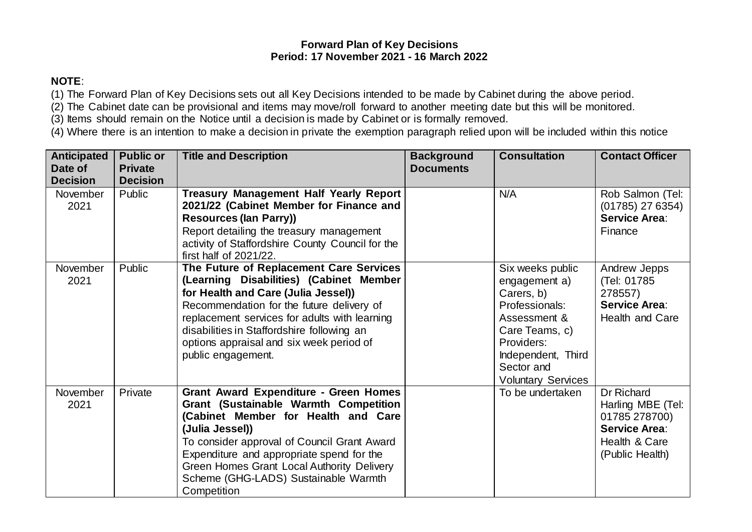## **Forward Plan of Key Decisions Period: 17 November 2021 - 16 March 2022**

## **NOTE**:

(1) The Forward Plan of Key Decisions sets out all Key Decisions intended to be made by Cabinet during the above period.

(2) The Cabinet date can be provisional and items may move/roll forward to another meeting date but this will be monitored.

(3) Items should remain on the Notice until a decision is made by Cabinet or is formally removed.

(4) Where there is an intention to make a decision in private the exemption paragraph relied upon will be included within this notice

| <b>Anticipated</b><br>Date of | <b>Public or</b><br><b>Private</b> | <b>Title and Description</b>                                                                                                                                                                                                                                                                                                                            | <b>Background</b><br><b>Documents</b> | <b>Consultation</b>                                                                                                                                                                | <b>Contact Officer</b>                                                                                       |
|-------------------------------|------------------------------------|---------------------------------------------------------------------------------------------------------------------------------------------------------------------------------------------------------------------------------------------------------------------------------------------------------------------------------------------------------|---------------------------------------|------------------------------------------------------------------------------------------------------------------------------------------------------------------------------------|--------------------------------------------------------------------------------------------------------------|
| <b>Decision</b>               | <b>Decision</b>                    |                                                                                                                                                                                                                                                                                                                                                         |                                       |                                                                                                                                                                                    |                                                                                                              |
| November<br>2021              | Public                             | <b>Treasury Management Half Yearly Report</b><br>2021/22 (Cabinet Member for Finance and<br><b>Resources (lan Parry))</b><br>Report detailing the treasury management<br>activity of Staffordshire County Council for the<br>first half of 2021/22.                                                                                                     |                                       | N/A                                                                                                                                                                                | Rob Salmon (Tel:<br>$(01785)$ 27 6354)<br><b>Service Area:</b><br>Finance                                    |
| November<br>2021              | Public                             | The Future of Replacement Care Services<br>(Learning Disabilities) (Cabinet Member<br>for Health and Care (Julia Jessel))<br>Recommendation for the future delivery of<br>replacement services for adults with learning<br>disabilities in Staffordshire following an<br>options appraisal and six week period of<br>public engagement.                 |                                       | Six weeks public<br>engagement a)<br>Carers, b)<br>Professionals:<br>Assessment &<br>Care Teams, c)<br>Providers:<br>Independent, Third<br>Sector and<br><b>Voluntary Services</b> | Andrew Jepps<br>(Tel: 01785<br>278557)<br><b>Service Area:</b><br>Health and Care                            |
| <b>November</b><br>2021       | Private                            | <b>Grant Award Expenditure - Green Homes</b><br><b>Grant (Sustainable Warmth Competition</b><br>(Cabinet Member for Health and Care<br>(Julia Jessel))<br>To consider approval of Council Grant Award<br>Expenditure and appropriate spend for the<br>Green Homes Grant Local Authority Delivery<br>Scheme (GHG-LADS) Sustainable Warmth<br>Competition |                                       | To be undertaken                                                                                                                                                                   | Dr Richard<br>Harling MBE (Tel:<br>01785 278700)<br><b>Service Area:</b><br>Health & Care<br>(Public Health) |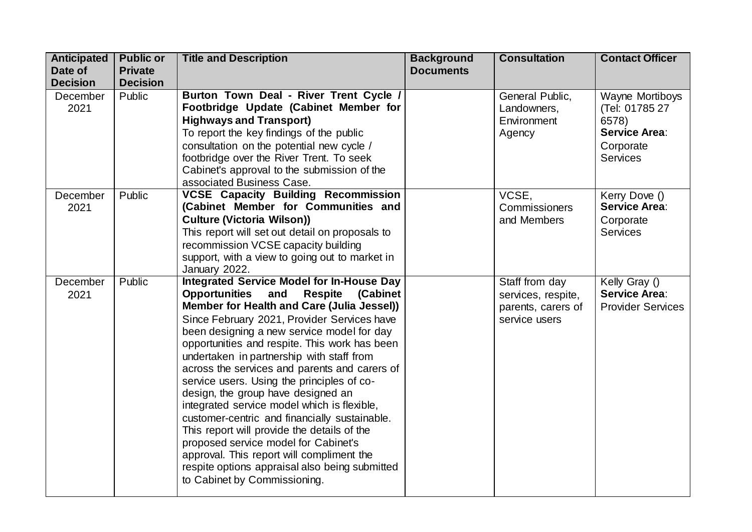| <b>Anticipated</b> | <b>Public or</b> | <b>Title and Description</b>                           | <b>Background</b> | <b>Consultation</b> | <b>Contact Officer</b>   |
|--------------------|------------------|--------------------------------------------------------|-------------------|---------------------|--------------------------|
| Date of            | <b>Private</b>   |                                                        | <b>Documents</b>  |                     |                          |
| <b>Decision</b>    | <b>Decision</b>  |                                                        |                   |                     |                          |
| December           | Public           | Burton Town Deal - River Trent Cycle /                 |                   | General Public,     | Wayne Mortiboys          |
| 2021               |                  | Footbridge Update (Cabinet Member for                  |                   | Landowners,         | (Tel: 01785 27           |
|                    |                  | <b>Highways and Transport)</b>                         |                   | Environment         | 6578)                    |
|                    |                  | To report the key findings of the public               |                   | Agency              | <b>Service Area:</b>     |
|                    |                  | consultation on the potential new cycle /              |                   |                     | Corporate                |
|                    |                  | footbridge over the River Trent. To seek               |                   |                     | <b>Services</b>          |
|                    |                  | Cabinet's approval to the submission of the            |                   |                     |                          |
|                    |                  | associated Business Case.                              |                   |                     |                          |
| December           | Public           | <b>VCSE Capacity Building Recommission</b>             |                   | VCSE,               | Kerry Dove ()            |
| 2021               |                  | (Cabinet Member for Communities and                    |                   | Commissioners       | <b>Service Area:</b>     |
|                    |                  | <b>Culture (Victoria Wilson))</b>                      |                   | and Members         | Corporate                |
|                    |                  | This report will set out detail on proposals to        |                   |                     | <b>Services</b>          |
|                    |                  | recommission VCSE capacity building                    |                   |                     |                          |
|                    |                  | support, with a view to going out to market in         |                   |                     |                          |
|                    |                  | January 2022.                                          |                   |                     |                          |
| December           | Public           | <b>Integrated Service Model for In-House Day</b>       |                   | Staff from day      | Kelly Gray ()            |
| 2021               |                  | <b>Opportunities and</b><br><b>Respite</b><br>(Cabinet |                   | services, respite,  | Service Area:            |
|                    |                  | Member for Health and Care (Julia Jessel))             |                   | parents, carers of  | <b>Provider Services</b> |
|                    |                  | Since February 2021, Provider Services have            |                   | service users       |                          |
|                    |                  | been designing a new service model for day             |                   |                     |                          |
|                    |                  | opportunities and respite. This work has been          |                   |                     |                          |
|                    |                  | undertaken in partnership with staff from              |                   |                     |                          |
|                    |                  | across the services and parents and carers of          |                   |                     |                          |
|                    |                  | service users. Using the principles of co-             |                   |                     |                          |
|                    |                  | design, the group have designed an                     |                   |                     |                          |
|                    |                  | integrated service model which is flexible,            |                   |                     |                          |
|                    |                  | customer-centric and financially sustainable.          |                   |                     |                          |
|                    |                  | This report will provide the details of the            |                   |                     |                          |
|                    |                  | proposed service model for Cabinet's                   |                   |                     |                          |
|                    |                  | approval. This report will compliment the              |                   |                     |                          |
|                    |                  | respite options appraisal also being submitted         |                   |                     |                          |
|                    |                  | to Cabinet by Commissioning.                           |                   |                     |                          |
|                    |                  |                                                        |                   |                     |                          |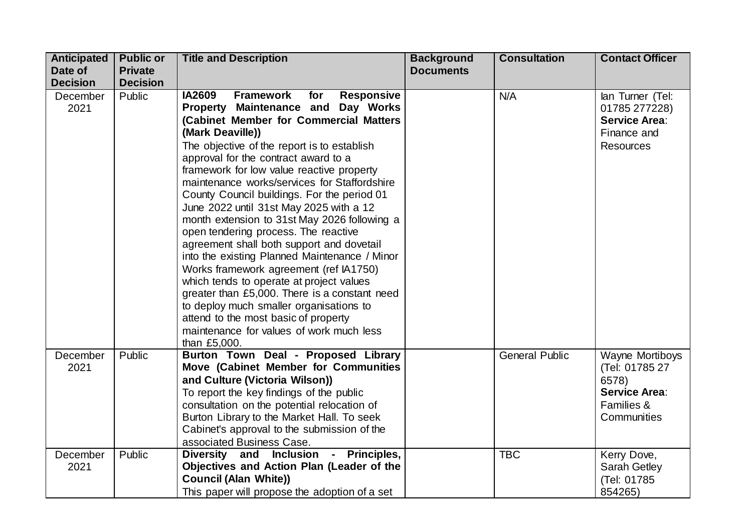| <b>Anticipated</b> | <b>Public or</b> | <b>Title and Description</b>                                                | <b>Background</b> | <b>Consultation</b>   | <b>Contact Officer</b>        |
|--------------------|------------------|-----------------------------------------------------------------------------|-------------------|-----------------------|-------------------------------|
| Date of            | <b>Private</b>   |                                                                             | <b>Documents</b>  |                       |                               |
| <b>Decision</b>    | <b>Decision</b>  |                                                                             |                   |                       |                               |
| December           | Public           | <b>Framework</b><br><b>IA2609</b><br><b>Responsive</b><br>for               |                   | N/A                   | lan Turner (Tel:              |
| 2021               |                  | Property Maintenance and Day Works                                          |                   |                       | 01785 277228)                 |
|                    |                  | (Cabinet Member for Commercial Matters                                      |                   |                       | <b>Service Area:</b>          |
|                    |                  | (Mark Deaville))                                                            |                   |                       | Finance and                   |
|                    |                  | The objective of the report is to establish                                 |                   |                       | <b>Resources</b>              |
|                    |                  | approval for the contract award to a                                        |                   |                       |                               |
|                    |                  | framework for low value reactive property                                   |                   |                       |                               |
|                    |                  | maintenance works/services for Staffordshire                                |                   |                       |                               |
|                    |                  | County Council buildings. For the period 01                                 |                   |                       |                               |
|                    |                  | June 2022 until 31st May 2025 with a 12                                     |                   |                       |                               |
|                    |                  | month extension to 31st May 2026 following a                                |                   |                       |                               |
|                    |                  | open tendering process. The reactive                                        |                   |                       |                               |
|                    |                  | agreement shall both support and dovetail                                   |                   |                       |                               |
|                    |                  | into the existing Planned Maintenance / Minor                               |                   |                       |                               |
|                    |                  | Works framework agreement (ref IA1750)                                      |                   |                       |                               |
|                    |                  | which tends to operate at project values                                    |                   |                       |                               |
|                    |                  | greater than £5,000. There is a constant need                               |                   |                       |                               |
|                    |                  | to deploy much smaller organisations to                                     |                   |                       |                               |
|                    |                  | attend to the most basic of property                                        |                   |                       |                               |
|                    |                  | maintenance for values of work much less                                    |                   |                       |                               |
|                    |                  | than £5,000.                                                                |                   |                       |                               |
| December<br>2021   | Public           | Burton Town Deal - Proposed Library<br>Move (Cabinet Member for Communities |                   | <b>General Public</b> | <b>Wayne Mortiboys</b>        |
|                    |                  | and Culture (Victoria Wilson))                                              |                   |                       | (Tel: 01785 27                |
|                    |                  | To report the key findings of the public                                    |                   |                       | 6578)<br><b>Service Area:</b> |
|                    |                  | consultation on the potential relocation of                                 |                   |                       | Families &                    |
|                    |                  | Burton Library to the Market Hall. To seek                                  |                   |                       | Communities                   |
|                    |                  | Cabinet's approval to the submission of the                                 |                   |                       |                               |
|                    |                  | associated Business Case.                                                   |                   |                       |                               |
| December           | Public           | Diversity and Inclusion - Principles,                                       |                   | <b>TBC</b>            | Kerry Dove,                   |
| 2021               |                  | Objectives and Action Plan (Leader of the                                   |                   |                       | Sarah Getley                  |
|                    |                  | <b>Council (Alan White))</b>                                                |                   |                       | (Tel: 01785                   |
|                    |                  | This paper will propose the adoption of a set                               |                   |                       | 854265)                       |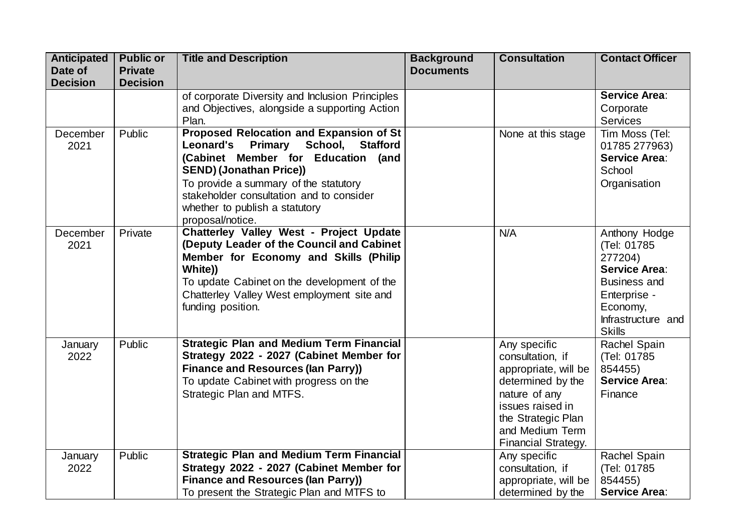| <b>Anticipated</b> | <b>Public or</b> | <b>Title and Description</b>                    | <b>Background</b> | <b>Consultation</b>        | <b>Contact Officer</b> |
|--------------------|------------------|-------------------------------------------------|-------------------|----------------------------|------------------------|
| Date of            | <b>Private</b>   |                                                 | <b>Documents</b>  |                            |                        |
| <b>Decision</b>    | <b>Decision</b>  |                                                 |                   |                            |                        |
|                    |                  | of corporate Diversity and Inclusion Principles |                   |                            | <b>Service Area:</b>   |
|                    |                  | and Objectives, alongside a supporting Action   |                   |                            | Corporate              |
|                    |                  | Plan.                                           |                   |                            | <b>Services</b>        |
| December           | Public           | <b>Proposed Relocation and Expansion of St</b>  |                   | None at this stage         | Tim Moss (Tel:         |
| 2021               |                  | Primary School, Stafford<br><b>Leonard's</b>    |                   |                            | 01785 277963)          |
|                    |                  | (Cabinet Member for Education (and              |                   |                            | <b>Service Area:</b>   |
|                    |                  | <b>SEND) (Jonathan Price))</b>                  |                   |                            | School                 |
|                    |                  | To provide a summary of the statutory           |                   |                            | Organisation           |
|                    |                  | stakeholder consultation and to consider        |                   |                            |                        |
|                    |                  | whether to publish a statutory                  |                   |                            |                        |
|                    |                  | proposal/notice.                                |                   |                            |                        |
| December           | Private          | <b>Chatterley Valley West - Project Update</b>  |                   | N/A                        | Anthony Hodge          |
| 2021               |                  | (Deputy Leader of the Council and Cabinet       |                   |                            | (Tel: 01785)           |
|                    |                  | Member for Economy and Skills (Philip           |                   |                            | 277204)                |
|                    |                  | White))                                         |                   |                            | <b>Service Area:</b>   |
|                    |                  | To update Cabinet on the development of the     |                   |                            | <b>Business and</b>    |
|                    |                  | Chatterley Valley West employment site and      |                   |                            | Enterprise -           |
|                    |                  | funding position.                               |                   |                            | Economy,               |
|                    |                  |                                                 |                   |                            | Infrastructure and     |
|                    |                  |                                                 |                   |                            | <b>Skills</b>          |
| January            | Public           | <b>Strategic Plan and Medium Term Financial</b> |                   | Any specific               | Rachel Spain           |
| 2022               |                  | Strategy 2022 - 2027 (Cabinet Member for        |                   | consultation, if           | (Tel: 01785            |
|                    |                  | <b>Finance and Resources (Ian Parry))</b>       |                   | appropriate, will be       | 854455)                |
|                    |                  | To update Cabinet with progress on the          |                   | determined by the          | <b>Service Area:</b>   |
|                    |                  | Strategic Plan and MTFS.                        |                   | nature of any              | Finance                |
|                    |                  |                                                 |                   | issues raised in           |                        |
|                    |                  |                                                 |                   | the Strategic Plan         |                        |
|                    |                  |                                                 |                   | and Medium Term            |                        |
|                    |                  |                                                 |                   | <b>Financial Strategy.</b> |                        |
| January            | Public           | <b>Strategic Plan and Medium Term Financial</b> |                   | Any specific               | Rachel Spain           |
| 2022               |                  | Strategy 2022 - 2027 (Cabinet Member for        |                   | consultation, if           | (Tel: 01785            |
|                    |                  | <b>Finance and Resources (lan Parry))</b>       |                   | appropriate, will be       | 854455)                |
|                    |                  | To present the Strategic Plan and MTFS to       |                   | determined by the          | <b>Service Area:</b>   |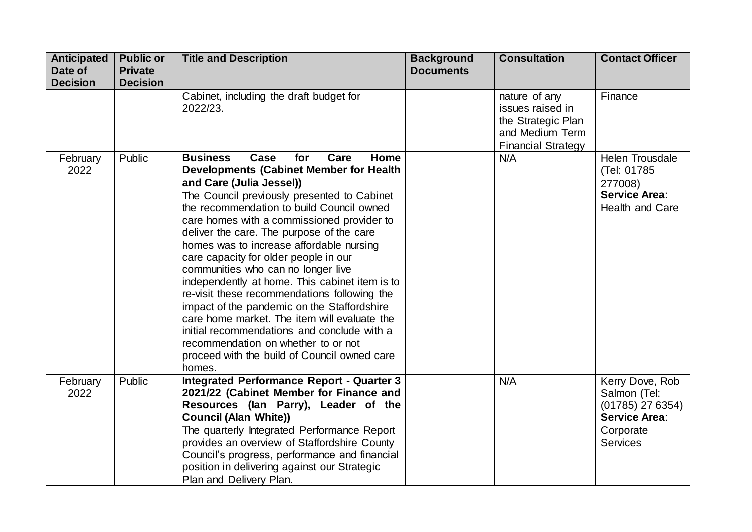| <b>Anticipated</b>                  | <b>Public or</b>          | <b>Title and Description</b>                                                                                                                                                                                                                                                                                                                                                                                                                                                                                                                                                                                                                                                                                                                                                                                                                 | <b>Background</b> | <b>Consultation</b>                                                                                            | <b>Contact Officer</b>                                                                                 |
|-------------------------------------|---------------------------|----------------------------------------------------------------------------------------------------------------------------------------------------------------------------------------------------------------------------------------------------------------------------------------------------------------------------------------------------------------------------------------------------------------------------------------------------------------------------------------------------------------------------------------------------------------------------------------------------------------------------------------------------------------------------------------------------------------------------------------------------------------------------------------------------------------------------------------------|-------------------|----------------------------------------------------------------------------------------------------------------|--------------------------------------------------------------------------------------------------------|
| Date of                             | <b>Private</b>            |                                                                                                                                                                                                                                                                                                                                                                                                                                                                                                                                                                                                                                                                                                                                                                                                                                              | <b>Documents</b>  |                                                                                                                |                                                                                                        |
| <b>Decision</b><br>February<br>2022 | <b>Decision</b><br>Public | Cabinet, including the draft budget for<br>2022/23.<br><b>Business</b><br>for<br>Care<br>Home<br>Case<br><b>Developments (Cabinet Member for Health</b><br>and Care (Julia Jessel))<br>The Council previously presented to Cabinet<br>the recommendation to build Council owned<br>care homes with a commissioned provider to<br>deliver the care. The purpose of the care<br>homes was to increase affordable nursing<br>care capacity for older people in our<br>communities who can no longer live<br>independently at home. This cabinet item is to<br>re-visit these recommendations following the<br>impact of the pandemic on the Staffordshire<br>care home market. The item will evaluate the<br>initial recommendations and conclude with a<br>recommendation on whether to or not<br>proceed with the build of Council owned care |                   | nature of any<br>issues raised in<br>the Strategic Plan<br>and Medium Term<br><b>Financial Strategy</b><br>N/A | Finance<br><b>Helen Trousdale</b><br>(Tel: 01785<br>277008)<br><b>Service Area:</b><br>Health and Care |
| February<br>2022                    | Public                    | homes.<br><b>Integrated Performance Report - Quarter 3</b><br>2021/22 (Cabinet Member for Finance and<br>Resources (lan Parry), Leader of the<br><b>Council (Alan White))</b><br>The quarterly Integrated Performance Report<br>provides an overview of Staffordshire County<br>Council's progress, performance and financial<br>position in delivering against our Strategic<br>Plan and Delivery Plan.                                                                                                                                                                                                                                                                                                                                                                                                                                     |                   | N/A                                                                                                            | Kerry Dove, Rob<br>Salmon (Tel:<br>$(01785)$ 27 6354)<br>Service Area:<br>Corporate<br><b>Services</b> |